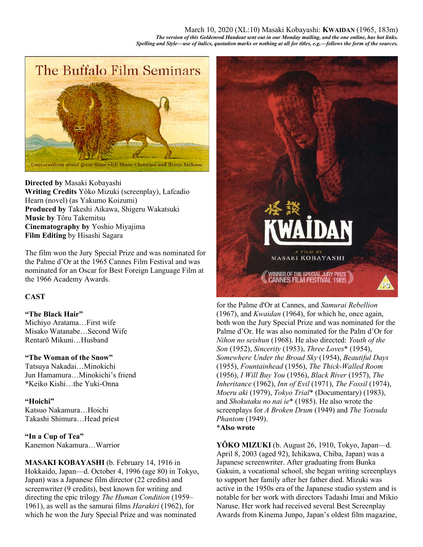March 10, 2020 (XL:10) Masaki Kobayashi: **KWAIDAN** (1965, 183m) *The version of this Goldenrod Handout sent out in our Monday mailing, and the one online, has hot links. Spelling and Style—use of italics, quotation marks or nothing at all for titles, e.g.—follows the form of the sources.* 



**Directed by** Masaki Kobayashi **Writing Credits** Yôko Mizuki (screenplay), Lafcadio Hearn (novel) (as Yakumo Koizumi) **Produced by** Takeshi Aikawa, Shigeru Wakatsuki **Music by** Tôru Takemitsu **Cinematography by** Yoshio Miyajima **Film Editing** by Hisashi Sagara

The film won the Jury Special Prize and was nominated for the Palme d'Or at the 1965 Cannes Film Festival and was nominated for an Oscar for Best Foreign Language Film at the 1966 Academy Awards.

# **CAST**

# **"The Black Hair"**

Michiyo Aratama…First wife Misako Watanabe…Second Wife Rentarō Mikuni…Husband

#### **"The Woman of the Snow"**

Tatsuya Nakadai…Minokichi Jun Hamamura…Minokichi's friend \*Keiko Kishi…the Yuki-Onna

#### **"Hoichi"**

Katsuo Nakamura…Hoichi Takashi Shimura…Head priest

**"In a Cup of Tea"** Kanemon Nakamura…Warrior

**MASAKI KOBAYASHI** (b. February 14, 1916 in Hokkaido, Japan—d. October 4, 1996 (age 80) in Tokyo, Japan) was a Japanese film director (22 credits) and screenwriter (9 credits), best known for writing and directing the epic trilogy *The Human Condition* (1959– 1961), as well as the samurai films *Harakiri* (1962), for which he won the Jury Special Prize and was nominated



for the Palme d'Or at Cannes, and *Samurai Rebellion*  (1967), and *Kwaidan* (1964), for which he, once again, both won the Jury Special Prize and was nominated for the Palme d'Or. He was also nominated for the Palm d'Or for *Nihon no seishun* (1968). He also directed: *Youth of the Son* (1952), *Sincerity* (1953), *Three Loves*\* (1954), *Somewhere Under the Broad Sky* (1954), *Beautiful Days* (1955), *Fountainhead* (1956), *The Thick-Walled Room* (1956), *I Will Buy You* (1956), *Black River* (1957), *The Inheritance* (1962), *Inn of Evil* (1971), *The Fossil* (1974), *Moeru aki* (1979), *Tokyo Trial*\* (Documentary) (1983), and *Shokutaku no nai ie*\* (1985). He also wrote the screenplays for *A Broken Drum* (1949) and *The Yotsuda Phantom* (1949). **\*Also wrote**

**YÔKO MIZUKI** (b. August 26, 1910, Tokyo, Japan—d. April 8, 2003 (aged 92), Ichikawa, Chiba, Japan) was a Japanese screenwriter. After graduating from Bunka Gakuin, a vocational school, she began writing screenplays to support her family after her father died. Mizuki was active in the 1950s era of the Japanese studio system and is notable for her work with directors Tadashi Imai and Mikio Naruse. Her work had received several Best Screenplay Awards from Kinema Junpo, Japan's oldest film magazine,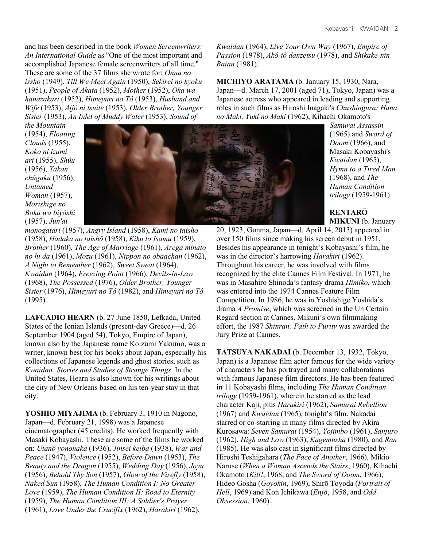and has been described in the book *Women Screenwriters: An International Guide* as "One of the most important and accomplished Japanese female screenwriters of all time." These are some of the 37 films she wrote for: *Onna no issho* (1949), *Till We Meet Again* (1950), *Sekirei no kyoku* (1951), *People of Akata* (1952), *Mother* (1952), *Oka wa hanazakari* (1952), *Himeyuri no Tô* (1953), *Husband and Wife* (1953), *Aijô ni tsuite* (1953), *Older Brother, Younger Sister* (1953), *An Inlet of Muddy Water* (1953), *Sound of* 

*the Mountain* (1954), *Floating Clouds* (1955), *Koko ni izumi ari* (1955), *Shûu* (1956), *Yakan chûgaku* (1956), *Untamed Woman* (1957), *Morishige no Boku wa biyôshi* (1957), *Jun'ai* 



*monogatari* (1957), *Angry Island* (1958), *Kami no taisho* (1958), *Hadaka no taishô* (1958), *Kiku to Isamu* (1959), *Brother* (1960), *The Age of Marriage* (1961), *Arega minato no hi da* (1961), *Mozu* (1961), *Nippon no obaachan* (1962), *A Night to Remember* (1962), *Sweet Sweat* (1964), *Kwaidan* (1964), *Freezing Point* (1966), *Devils-in-Law* (1968), *The Possessed* (1976), *Older Brother, Younger Sister* (1976), *Himeyuri no Tô* (1982), and *Himeyuri no Tô* (1995).

**LAFCADIO HEARN** (b. 27 June 1850, Lefkada, United States of the Ionian Islands (present-day Greece)—d. 26 September 1904 (aged 54), Tokyo, Empire of Japan), known also by the Japanese name Koizumi Yakumo, was a writer, known best for his books about Japan, especially his collections of Japanese legends and ghost stories, such as *Kwaidan: Stories and Studies of Strange Things*. In the United States, Hearn is also known for his writings about the city of New Orleans based on his ten-year stay in that city.

**YOSHIO MIYAJIMA** (b. February 3, 1910 in Nagono, Japan—d. February 21, 1998) was a Japanese cinematographer (45 credits). He worked frequently with Masaki Kobayashi. These are some of the films he worked on: *Utanô yononaka* (1936), *Jinsei keiba* (1938), *War and Peace* (1947), *Violence* (1952), *Before Dawn* (1953), *The Beauty and the Dragon* (1955), *Wedding Day* (1956), *Joyu* (1956), *Behold Thy Son* (1957), *Glow of the Firefly* (1958), *Naked Sun* (1958), *The Human Condition I: No Greater Love* (1959), *The Human Condition II: Road to Eternity* (1959), *The Human Condition III: A Soldier's Prayer* (1961), *Love Under the Crucifix* (1962), *Harakiri* (1962),

*Kwaidan* (1964), *Live Your Own Way* (1967), *Empire of Passion* (1978), *Akô-jô danzetsu* (1978), and *Shikake-nin Baian* (1981).

**MICHIYO ARATAMA** (b. January 15, 1930, Nara, Japan—d. March 17, 2001 (aged 71), Tokyo, Japan) was a Japanese actress who appeared in leading and supporting roles in such films as Hiroshi Inagaki's *Chushingura: Hana no Maki, Yuki no Maki* (1962), Kihachi Okamoto's

*Samurai Assassin* (1965) and *Sword of Doom* (1966), and Masaki Kobayashi's *Kwaidan* (1965), *Hymn to a Tired Man* (1968), and *The Human Condition trilogy* (1959-1961).

**RENTARŌ MIKUNI** (b. January

20, 1923, Gunma, Japan—d. April 14, 2013) appeared in over 150 films since making his screen debut in 1951. Besides his appearance in tonight's Kobayashi's film, he was in the director's harrowing *Harakiri* (1962). Throughout his career, he was involved with films recognized by the elite Cannes Film Festival. In 1971, he was in Masahiro Shinoda's fantasy drama *Himiko*, which was entered into the 1974 Cannes Feature Film Competition. In 1986, he was in Yoshishige Yoshida's drama *A Promise*, which was screened in the Un Certain Regard section at Cannes. Mikuni's own filmmaking effort, the 1987 *Shinran: Path to Purity* was awarded the Jury Prize at Cannes.

**TATSUYA NAKADAI** (b. December 13, 1932, Tokyo, Japan) is a Japanese film actor famous for the wide variety of characters he has portrayed and many collaborations with famous Japanese film directors. He has been featured in 11 Kobayashi films, including *The Human Condition trilogy* (1959-1961), wherein he starred as the lead character Kaji, plus *Harakiri* (1962), *Samurai Rebellion* (1967) and *Kwaidan* (1965), tonight's film. Nakadai starred or co-starring in many films directed by Akira Kurosawa: *Seven Samurai* (1954), *Yojimbo* (1961), *Sanjuro*  (1962), *High and Low* (1963), *Kagemusha* (1980), and *Ran* (1985). He was also cast in significant films directed by Hiroshi Teshigahara (*The Face of Another*, 1966), Mikio Naruse (*When a Woman Ascends the Stairs*, 1960), Kihachi Okamoto (*Kill!*, 1968, and *The Sword of Doom*, 1966), Hideo Gosha (*Goyokin*, 1969), Shirō Toyoda (*Portrait of Hell*, 1969) and Kon Ichikawa (*Enjō*, 1958, and *Odd Obsession*, 1960).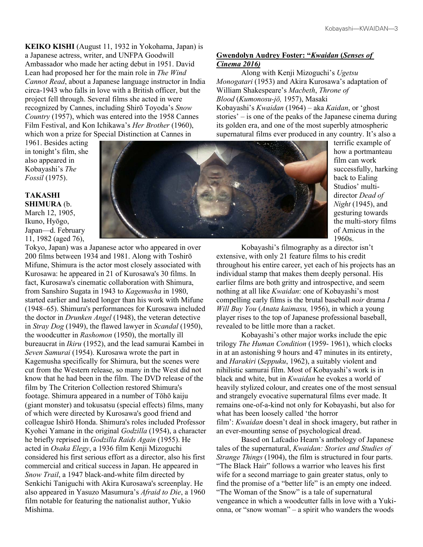**KEIKO KISHI** (August 11, 1932 in Yokohama, Japan) is a Japanese actress, writer, and UNFPA Goodwill Ambassador who made her acting debut in 1951. David Lean had proposed her for the main role in *The Wind Cannot Read*, about a Japanese language instructor in India circa-1943 who falls in love with a British officer, but the project fell through. Several films she acted in were recognized by Cannes, including Shirō Toyoda's *Snow Country* (1957), which was entered into the 1958 Cannes Film Festival, and Kon Ichikawa's *Her Brother* (1960), which won a prize for Special Distinction at Cannes in

1961. Besides acting in tonight's film, she also appeared in Kobayashi's *The Fossil* (1975).

#### **TAKASHI SHIMURA** (b.

March 12, 1905, Ikuno, Hyōgo, Japan—d. February 11, 1982 (aged 76),

Tokyo, Japan) was a Japanese actor who appeared in over 200 films between 1934 and 1981. Along with Toshirō Mifune, Shimura is the actor most closely associated with Kurosawa: he appeared in 21 of Kurosawa's 30 films. In fact, Kurosawa's cinematic collaboration with Shimura, from Sanshiro Sugata in 1943 to *Kagemusha* in 1980, started earlier and lasted longer than his work with Mifune (1948–65). Shimura's performances for Kurosawa included the doctor in *Drunken Angel* (1948), the veteran detective in *Stray Dog* (1949), the flawed lawyer in *Scandal* (1950), the woodcutter in *Rashomon* (1950), the mortally ill bureaucrat in *Ikiru* (1952), and the lead samurai Kambei in *Seven Samurai* (1954). Kurosawa wrote the part in Kagemusha specifically for Shimura, but the scenes were cut from the Western release, so many in the West did not know that he had been in the film. The DVD release of the film by The Criterion Collection restored Shimura's footage. Shimura appeared in a number of Tōhō kaiju (giant monster) and tokusatsu (special effects) films, many of which were directed by Kurosawa's good friend and colleague Ishirō Honda. Shimura's roles included Professor Kyohei Yamane in the original *Godzilla* (1954), a character he briefly reprised in *Godzilla Raids Again* (1955). He acted in *Osaka Elegy*, a 1936 film Kenji Mizoguchi considered his first serious effort as a director, also his first commercial and critical success in Japan. He appeared in *Snow Trail*, a 1947 black-and-white film directed by Senkichi Taniguchi with Akira Kurosawa's screenplay. He also appeared in Yasuzo Masumura's *Afraid to Die*, a 1960 film notable for featuring the nationalist author, Yukio Mishima.



**Gwendolyn Audrey Foster: "***Kwaidan* **(***Senses of Cinema 2016)*

Along with Kenji Mizoguchi's *Ugetsu Monogatari* (1953) and Akira Kurosawa's adaptation of William Shakespeare's *Macbeth*, *Throne of Blood* (*Kumonosu-jō,* 1957), Masaki Kobayashi's *Kwaidan* (1964) – aka *Kaidan*, or 'ghost stories' – is one of the peaks of the Japanese cinema during its golden era, and one of the most superbly atmospheric supernatural films ever produced in any country. It's also a

terrific example of how a portmanteau film can work successfully, harking back to Ealing Studios' multidirector *Dead of Night* (1945), and gesturing towards the multi-story films of Amicus in the 1960s.

Kobayashi's filmography as a director isn't extensive, with only 21 feature films to his credit throughout his entire career, yet each of his projects has an individual stamp that makes them deeply personal. His earlier films are both gritty and introspective, and seem nothing at all like *Kwaidan*: one of Kobayashi's most compelling early films is the brutal baseball *noir* drama *I Will Buy You* (*Anata kaimasu,* 1956), in which a young player rises to the top of Japanese professional baseball, revealed to be little more than a racket.

Kobayashi's other major works include the epic trilogy *The Human Condition* (1959- 1961), which clocks in at an astonishing 9 hours and 47 minutes in its entirety, and *Harakiri* (*Seppuku*, 1962), a suitably violent and nihilistic samurai film. Most of Kobayashi's work is in black and white, but in *Kwaidan* he evokes a world of heavily stylized colour, and creates one of the most sensual and strangely evocative supernatural films ever made. It remains one-of-a-kind not only for Kobayashi, but also for what has been loosely called 'the horror film': *Kwaidan* doesn't deal in shock imagery, but rather in an ever-mounting sense of psychological dread.

Based on Lafcadio Hearn's anthology of Japanese tales of the supernatural, *Kwaidan: Stories and Studies of Strange Things* (1904), the film is structured in four parts. "The Black Hair" follows a warrior who leaves his first wife for a second marriage to gain greater status, only to find the promise of a "better life" is an empty one indeed. "The Woman of the Snow" is a tale of supernatural vengeance in which a woodcutter falls in love with a Yukionna, or "snow woman" – a spirit who wanders the woods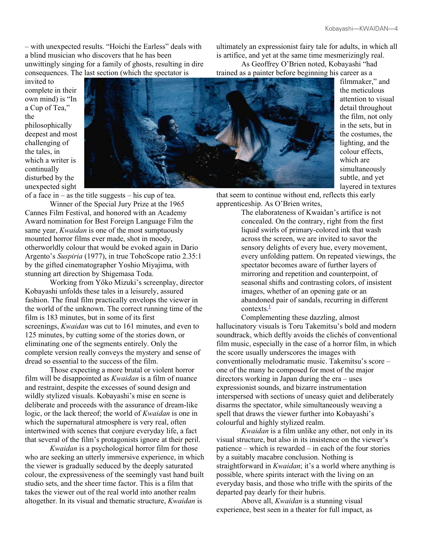– with unexpected results. "Hoichi the Earless" deals with a blind musician who discovers that he has been unwittingly singing for a family of ghosts, resulting in dire consequences. The last section (which the spectator is

invited to complete in their own mind) is "In a Cup of Tea," the philosophically deepest and most challenging of the tales, in which a writer is continually disturbed by the unexpected sight



trained as a painter before beginning his career as a filmmaker," and the meticulous attention to visual detail throughout the film, not only in the sets, but in the costumes, the lighting, and the colour effects, which are simultaneously subtle, and yet layered in textures

that seem to continue without end, reflects this early apprenticeship. As O'Brien writes,

ultimately an expressionist fairy tale for adults, in which all is artifice, and yet at the same time mesmerizingly real. As Geoffrey O'Brien noted, Kobayashi "had

The elaborateness of Kwaidan's artifice is not concealed. On the contrary, right from the first liquid swirls of primary-colored ink that wash across the screen, we are invited to savor the sensory delights of every hue, every movement, every unfolding pattern. On repeated viewings, the spectator becomes aware of further layers of mirroring and repetition and counterpoint, of seasonal shifts and contrasting colors, of insistent images, whether of an opening gate or an abandoned pair of sandals, recurring in different contexts. $\frac{1}{1}$ 

Complementing these dazzling, almost hallucinatory visuals is Toru Takemitsu's bold and modern soundtrack, which deftly avoids the clichés of conventional film music, especially in the case of a horror film, in which the score usually underscores the images with conventionally melodramatic music. Takemitsu's score – one of the many he composed for most of the major directors working in Japan during the era – uses expressionist sounds, and bizarre instrumentation interspersed with sections of uneasy quiet and deliberately disarms the spectator, while simultaneously weaving a spell that draws the viewer further into Kobayashi's colourful and highly stylized realm.

*Kwaidan* is a film unlike any other, not only in its visual structure, but also in its insistence on the viewer's patience – which is rewarded – in each of the four stories by a suitably macabre conclusion. Nothing is straightforward in *Kwaidan*; it's a world where anything is possible, where spirits interact with the living on an everyday basis, and those who trifle with the spirits of the departed pay dearly for their hubris.

Above all, *Kwaidan* is a stunning visual experience, best seen in a theater for full impact, as

of a face in – as the title suggests – his cup of tea. Winner of the Special Jury Prize at the 1965 Cannes Film Festival, and honored with an Academy Award nomination for Best Foreign Language Film the same year, *Kwaidan* is one of the most sumptuously mounted horror films ever made, shot in moody, otherworldly colour that would be evoked again in Dario Argento's *Suspiria* (1977), in true TohoScope ratio 2.35:1 by the gifted cinematographer Yoshio Miyajima, with stunning art direction by Shigemasa Toda.

Working from Yôko Mizuki's screenplay, director Kobayashi unfolds these tales in a leisurely, assured fashion. The final film practically envelops the viewer in the world of the unknown. The correct running time of the film is 183 minutes, but in some of its first screenings, *Kwaidan* was cut to 161 minutes, and even to 125 minutes, by cutting some of the stories down, or eliminating one of the segments entirely. Only the complete version really conveys the mystery and sense of dread so essential to the success of the film.

Those expecting a more brutal or violent horror film will be disappointed as *Kwaidan* is a film of nuance and restraint, despite the excesses of sound design and wildly stylized visuals. Kobayashi's mise en scene is deliberate and proceeds with the assurance of dream-like logic, or the lack thereof; the world of *Kwaidan* is one in which the supernatural atmosphere is very real, often intertwined with scenes that conjure everyday life, a fact that several of the film's protagonists ignore at their peril.

*Kwaidan* is a psychological horror film for those who are seeking an utterly immersive experience, in which the viewer is gradually seduced by the deeply saturated colour, the expressiveness of the seemingly vast hand built studio sets, and the sheer time factor. This is a film that takes the viewer out of the real world into another realm altogether. In its visual and thematic structure, *Kwaidan* is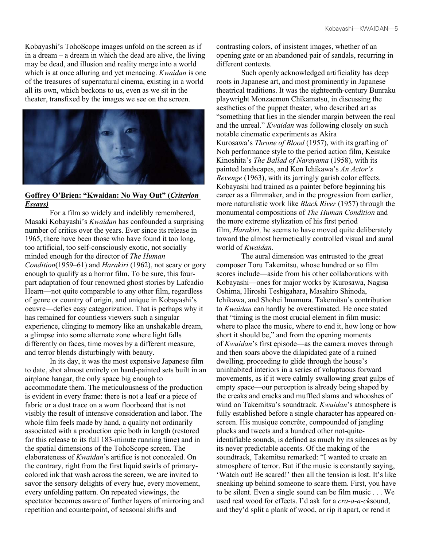Kobayashi's TohoScope images unfold on the screen as if in a dream – a dream in which the dead are alive, the living may be dead, and illusion and reality merge into a world which is at once alluring and yet menacing. *Kwaidan* is one of the treasures of supernatural cinema, existing in a world all its own, which beckons to us, even as we sit in the theater, transfixed by the images we see on the screen.



# **Goffrey O'Brien: "Kwaidan: No Way Out" (***Criterion Essays)*

For a film so widely and indelibly remembered, Masaki Kobayashi's *Kwaidan* has confounded a surprising number of critics over the years. Ever since its release in 1965, there have been those who have found it too long, too artificial, too self-consciously exotic, not socially minded enough for the director of *The Human Condition*(1959–61) and *Harakiri* (1962), not scary or gory enough to qualify as a horror film. To be sure, this fourpart adaptation of four renowned ghost stories by Lafcadio Hearn—not quite comparable to any other film, regardless of genre or country of origin, and unique in Kobayashi's oeuvre—defies easy categorization. That is perhaps why it has remained for countless viewers such a singular experience, clinging to memory like an unshakable dream, a glimpse into some alternate zone where light falls differently on faces, time moves by a different measure, and terror blends disturbingly with beauty.

In its day, it was the most expensive Japanese film to date, shot almost entirely on hand-painted sets built in an airplane hangar, the only space big enough to accommodate them. The meticulousness of the production is evident in every frame: there is not a leaf or a piece of fabric or a dust trace on a worn floorboard that is not visibly the result of intensive consideration and labor. The whole film feels made by hand, a quality not ordinarily associated with a production epic both in length (restored for this release to its full 183-minute running time) and in the spatial dimensions of the TohoScope screen. The elaborateness of *Kwaidan*'s artifice is not concealed. On the contrary, right from the first liquid swirls of primarycolored ink that wash across the screen, we are invited to savor the sensory delights of every hue, every movement, every unfolding pattern. On repeated viewings, the spectator becomes aware of further layers of mirroring and repetition and counterpoint, of seasonal shifts and

contrasting colors, of insistent images, whether of an opening gate or an abandoned pair of sandals, recurring in different contexts.

Such openly acknowledged artificiality has deep roots in Japanese art, and most prominently in Japanese theatrical traditions. It was the eighteenth-century Bunraku playwright Monzaemon Chikamatsu, in discussing the aesthetics of the puppet theater, who described art as "something that lies in the slender margin between the real and the unreal." *Kwaidan* was following closely on such notable cinematic experiments as Akira Kurosawa's *Throne of Blood* (1957), with its grafting of Noh performance style to the period action film, Keisuke Kinoshita's *The Ballad of Narayama* (1958), with its painted landscapes, and Kon Ichikawa's *An Actor's Revenge* (1963), with its jarringly garish color effects. Kobayashi had trained as a painter before beginning his career as a filmmaker, and in the progression from earlier, more naturalistic work like *Black River* (1957) through the monumental compositions of *The Human Condition* and the more extreme stylization of his first period film, *Harakiri,* he seems to have moved quite deliberately toward the almost hermetically controlled visual and aural world of *Kwaidan.*

The aural dimension was entrusted to the great composer Toru Takemitsu, whose hundred or so film scores include—aside from his other collaborations with Kobayashi—ones for major works by Kurosawa, Nagisa Oshima, Hiroshi Teshigahara, Masahiro Shinoda, Ichikawa, and Shohei Imamura. Takemitsu's contribution to *Kwaidan* can hardly be overestimated. He once stated that "timing is the most crucial element in film music: where to place the music, where to end it, how long or how short it should be," and from the opening moments of *Kwaidan*'s first episode—as the camera moves through and then soars above the dilapidated gate of a ruined dwelling, proceeding to glide through the house's uninhabited interiors in a series of voluptuous forward movements, as if it were calmly swallowing great gulps of empty space—our perception is already being shaped by the creaks and cracks and muffled slams and whooshes of wind on Takemitsu's soundtrack. *Kwaidan*'s atmosphere is fully established before a single character has appeared onscreen. His musique concrète, compounded of jangling plucks and tweets and a hundred other not-quiteidentifiable sounds, is defined as much by its silences as by its never predictable accents. Of the making of the soundtrack, Takemitsu remarked: "I wanted to create an atmosphere of terror. But if the music is constantly saying, 'Watch out! Be scared!' then all the tension is lost. It's like sneaking up behind someone to scare them. First, you have to be silent. Even a single sound can be film music . . . We used real wood for effects. I'd ask for a *cra-a-a-ck*sound, and they'd split a plank of wood, or rip it apart, or rend it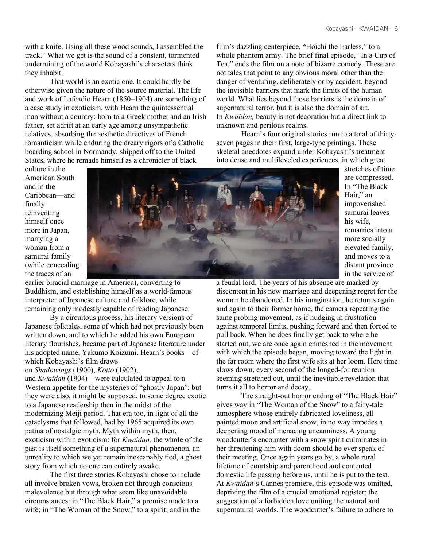with a knife. Using all these wood sounds, I assembled the track." What we get is the sound of a constant, tormented undermining of the world Kobayashi's characters think they inhabit.

That world is an exotic one. It could hardly be otherwise given the nature of the source material. The life and work of Lafcadio Hearn (1850–1904) are something of a case study in exoticism, with Hearn the quintessential man without a country: born to a Greek mother and an Irish father, set adrift at an early age among unsympathetic relatives, absorbing the aesthetic directives of French romanticism while enduring the dreary rigors of a Catholic boarding school in Normandy, shipped off to the United States, where he remade himself as a chronicler of black

culture in the American South and in the Caribbean—and finally reinventing himself once more in Japan, marrying a woman from a samurai family (while concealing the traces of an



earlier biracial marriage in America), converting to Buddhism, and establishing himself as a world-famous interpreter of Japanese culture and folklore, while remaining only modestly capable of reading Japanese.

By a circuitous process, his literary versions of Japanese folktales, some of which had not previously been written down, and to which he added his own European literary flourishes, became part of Japanese literature under his adopted name, Yakumo Koizumi. Hearn's books—of which Kobayashi's film draws

on *Shadowings* (1900), *Kotto* (1902),

and *Kwaidan* (1904)—were calculated to appeal to a Western appetite for the mysteries of "ghostly Japan"; but they were also, it might be supposed, to some degree exotic to a Japanese readership then in the midst of the modernizing Meiji period. That era too, in light of all the cataclysms that followed, had by 1965 acquired its own patina of nostalgic myth. Myth within myth, then, exoticism within exoticism: for *Kwaidan,* the whole of the past is itself something of a supernatural phenomenon, an unreality to which we yet remain inescapably tied, a ghost story from which no one can entirely awake.

The first three stories Kobayashi chose to include all involve broken vows, broken not through conscious malevolence but through what seem like unavoidable circumstances: in "The Black Hair," a promise made to a wife; in "The Woman of the Snow," to a spirit; and in the film's dazzling centerpiece, "Hoichi the Earless," to a whole phantom army. The brief final episode, "In a Cup of Tea," ends the film on a note of bizarre comedy. These are not tales that point to any obvious moral other than the danger of venturing, deliberately or by accident, beyond the invisible barriers that mark the limits of the human world. What lies beyond those barriers is the domain of supernatural terror, but it is also the domain of art. In *Kwaidan,* beauty is not decoration but a direct link to unknown and perilous realms.

Hearn's four original stories run to a total of thirtyseven pages in their first, large-type printings. These skeletal anecdotes expand under Kobayashi's treatment into dense and multileveled experiences, in which great

stretches of time are compressed. In "The Black Hair," an impoverished samurai leaves his wife, remarries into a more socially elevated family, and moves to a distant province in the service of

a feudal lord. The years of his absence are marked by discontent in his new marriage and deepening regret for the woman he abandoned. In his imagination, he returns again and again to their former home, the camera repeating the same probing movement, as if nudging in frustration against temporal limits, pushing forward and then forced to pull back. When he does finally get back to where he started out, we are once again enmeshed in the movement with which the episode began, moving toward the light in the far room where the first wife sits at her loom. Here time slows down, every second of the longed-for reunion seeming stretched out, until the inevitable revelation that turns it all to horror and decay.

The straight-out horror ending of "The Black Hair" gives way in "The Woman of the Snow" to a fairy-tale atmosphere whose entirely fabricated loveliness, all painted moon and artificial snow, in no way impedes a deepening mood of menacing uncanniness. A young woodcutter's encounter with a snow spirit culminates in her threatening him with doom should he ever speak of their meeting. Once again years go by, a whole rural lifetime of courtship and parenthood and contented domestic life passing before us, until he is put to the test. At *Kwaidan*'s Cannes premiere, this episode was omitted, depriving the film of a crucial emotional register: the suggestion of a forbidden love uniting the natural and supernatural worlds. The woodcutter's failure to adhere to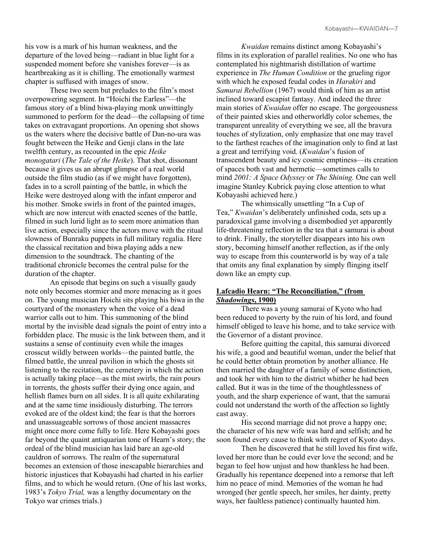his vow is a mark of his human weakness, and the departure of the loved being—radiant in blue light for a suspended moment before she vanishes forever—is as heartbreaking as it is chilling. The emotionally warmest chapter is suffused with images of snow.

These two seem but preludes to the film's most overpowering segment. In "Hoichi the Earless"—the famous story of a blind biwa-playing monk unwittingly summoned to perform for the dead—the collapsing of time takes on extravagant proportions. An opening shot shows us the waters where the decisive battle of Dan-no-ura was fought between the Heike and Genji clans in the late twelfth century, as recounted in the epic *Heike monogatari* (*The Tale of the Heike*). That shot, dissonant because it gives us an abrupt glimpse of a real world outside the film studio (as if we might have forgotten), fades in to a scroll painting of the battle, in which the Heike were destroyed along with the infant emperor and his mother. Smoke swirls in front of the painted images, which are now intercut with enacted scenes of the battle, filmed in such lurid light as to seem more animation than live action, especially since the actors move with the ritual slowness of Bunraku puppets in full military regalia. Here the classical recitation and biwa playing adds a new dimension to the soundtrack. The chanting of the traditional chronicle becomes the central pulse for the duration of the chapter.

An episode that begins on such a visually gaudy note only becomes stormier and more menacing as it goes on. The young musician Hoichi sits playing his biwa in the courtyard of the monastery when the voice of a dead warrior calls out to him. This summoning of the blind mortal by the invisible dead signals the point of entry into a forbidden place. The music is the link between them, and it sustains a sense of continuity even while the images crosscut wildly between worlds—the painted battle, the filmed battle, the unreal pavilion in which the ghosts sit listening to the recitation, the cemetery in which the action is actually taking place—as the mist swirls, the rain pours in torrents, the ghosts suffer their dying once again, and hellish flames burn on all sides. It is all quite exhilarating and at the same time insidiously disturbing. The terrors evoked are of the oldest kind; the fear is that the horrors and unassuageable sorrows of those ancient massacres might once more come fully to life. Here Kobayashi goes far beyond the quaint antiquarian tone of Hearn's story; the ordeal of the blind musician has laid bare an age-old cauldron of sorrows. The realm of the supernatural becomes an extension of those inescapable hierarchies and historic injustices that Kobayashi had charted in his earlier films, and to which he would return. (One of his last works, 1983's *Tokyo Trial,* was a lengthy documentary on the Tokyo war crimes trials.)

*Kwaidan* remains distinct among Kobayashi's films in its exploration of parallel realities. No one who has contemplated his nightmarish distillation of wartime experience in *The Human Condition* or the grueling rigor with which he exposed feudal codes in *Harakiri* and *Samurai Rebellion* (1967) would think of him as an artist inclined toward escapist fantasy. And indeed the three main stories of *Kwaidan* offer no escape. The gorgeousness of their painted skies and otherworldly color schemes, the transparent unreality of everything we see, all the bravura touches of stylization, only emphasize that one may travel to the farthest reaches of the imagination only to find at last a great and terrifying void. (*Kwaidan*'s fusion of transcendent beauty and icy cosmic emptiness—its creation of spaces both vast and hermetic—sometimes calls to mind *2001: A Space Odyssey* or *The Shining.* One can well imagine Stanley Kubrick paying close attention to what Kobayashi achieved here.)

The whimsically unsettling "In a Cup of Tea," *Kwaidan*'s deliberately unfinished coda, sets up a paradoxical game involving a disembodied yet apparently life-threatening reflection in the tea that a samurai is about to drink. Finally, the storyteller disappears into his own story, becoming himself another reflection, as if the only way to escape from this counterworld is by way of a tale that omits any final explanation by simply flinging itself down like an empty cup.

# **Lafcadio Hearn: "The Reconciliation," (from**  *Shadowings***, 1900)**

There was a young samurai of Kyoto who had been reduced to poverty by the ruin of his lord, and found himself obliged to leave his home, and to take service with the Governor of a distant province.

Before quitting the capital, this samurai divorced his wife, a good and beautiful woman, under the belief that he could better obtain promotion by another alliance. He then married the daughter of a family of some distinction, and took her with him to the district whither he had been called. But it was in the time of the thoughtlessness of youth, and the sharp experience of want, that the samurai could not understand the worth of the affection so lightly cast away.

His second marriage did not prove a happy one; the character of his new wife was hard and selfish; and he soon found every cause to think with regret of Kyoto days.

Then he discovered that he still loved his first wife, loved her more than he could ever love the second; and he began to feel how unjust and how thankless he had been. Gradually his repentance deepened into a remorse that left him no peace of mind. Memories of the woman he had wronged (her gentle speech, her smiles, her dainty, pretty ways, her faultless patience) continually haunted him.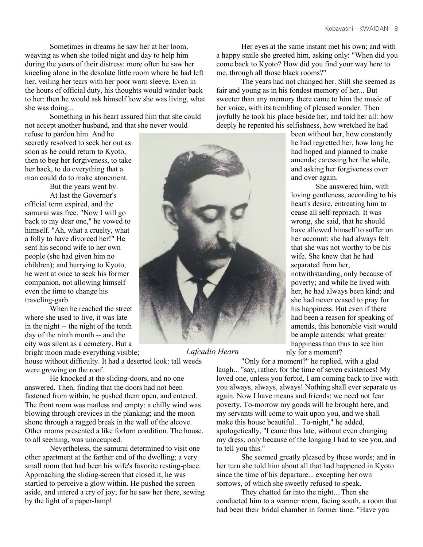Sometimes in dreams he saw her at her loom, weaving as when she toiled night and day to help him during the years of their distress: more often he saw her kneeling alone in the desolate little room where he had left her, veiling her tears with her poor worn sleeve. Even in the hours of official duty, his thoughts would wander back to her: then he would ask himself how she was living, what she was doing...

Something in his heart assured him that she could not accept another husband, and that she never would

refuse to pardon him. And he secretly resolved to seek her out as soon as he could return to Kyoto, then to beg her forgiveness, to take her back, to do everything that a man could do to make atonement.

But the years went by.

At last the Governor's official term expired, and the samurai was free. "Now I will go back to my dear one," he vowed to himself. "Ah, what a cruelty, what a folly to have divorced her!" He sent his second wife to her own people (she had given him no children); and hurrying to Kyoto, he went at once to seek his former companion, not allowing himself even the time to change his traveling-garb.

When he reached the street where she used to live, it was late in the night -- the night of the tenth day of the ninth month -- and the city was silent as a cemetery. But a

bright moon made everything visible; house without difficulty. It had a deserted look: tall weeds were growing on the roof.

He knocked at the sliding-doors, and no one answered. Then, finding that the doors had not been fastened from within, he pushed them open, and entered. The front room was matless and empty: a chilly wind was blowing through crevices in the planking; and the moon shone through a ragged break in the wall of the alcove. Other rooms presented a like forlorn condition. The house, to all seeming, was unoccupied.

Nevertheless, the samurai determined to visit one other apartment at the farther end of the dwelling; a very small room that had been his wife's favorite resting-place. Approaching the sliding-screen that closed it, he was startled to perceive a glow within. He pushed the screen aside, and uttered a cry of joy; for he saw her there, sewing by the light of a paper-lamp!



*Lafcadio Hearn*

Her eyes at the same instant met his own; and with a happy smile she greeted him, asking only: "When did you come back to Kyoto? How did you find your way here to me, through all those black rooms?"

The years had not changed her. Still she seemed as fair and young as in his fondest memory of her... But sweeter than any memory there came to him the music of her voice, with its trembling of pleased wonder. Then joyfully he took his place beside her, and told her all: how deeply he repented his selfishness, how wretched he had

been without her, how constantly he had regretted her, how long he had hoped and planned to make amends; caressing her the while, and asking her forgiveness over and over again.

She answered him, with loving gentleness, according to his heart's desire, entreating him to cease all self-reproach. It was wrong, she said, that he should have allowed himself to suffer on her account: she had always felt that she was not worthy to be his wife. She knew that he had separated from her, notwithstanding, only because of poverty; and while he lived with her, he had always been kind; and she had never ceased to pray for his happiness. But even if there had been a reason for speaking of amends, this honorable visit would be ample amends: what greater happiness than thus to see him nly for a moment?

"Only for a moment?" he replied, with a glad

laugh... "say, rather, for the time of seven existences! My loved one, unless you forbid, I am coming back to live with you always, always, always! Nothing shall ever separate us again. Now I have means and friends: we need not fear poverty. To-morrow my goods will be brought here, and my servants will come to wait upon you, and we shall make this house beautiful... To-night," he added, apologetically, "I came thus late, without even changing my dress, only because of the longing I had to see you, and to tell you this."

She seemed greatly pleased by these words; and in her turn she told him about all that had happened in Kyoto since the time of his departure... excepting her own sorrows, of which she sweetly refused to speak.

They chatted far into the night... Then she conducted him to a warmer room, facing south, a room that had been their bridal chamber in former time. "Have you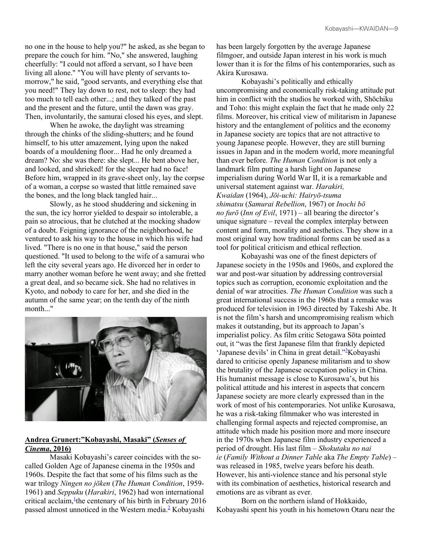no one in the house to help you?" he asked, as she began to prepare the couch for him. "No," she answered, laughing cheerfully: "I could not afford a servant, so I have been living all alone." "You will have plenty of servants tomorrow," he said, "good servants, and everything else that you need!" They lay down to rest, not to sleep: they had too much to tell each other...; and they talked of the past and the present and the future, until the dawn was gray. Then, involuntarily, the samurai closed his eyes, and slept.

When he awoke, the daylight was streaming through the chinks of the sliding-shutters; and he found himself, to his utter amazement, lying upon the naked boards of a mouldening floor... Had he only dreamed a dream? No: she was there: she slept... He bent above her, and looked, and shrieked! for the sleeper had no face! Before him, wrapped in its grave-sheet only, lay the corpse of a woman, a corpse so wasted that little remained save the bones, and the long black tangled hair...

Slowly, as he stood shuddering and sickening in the sun, the icy horror yielded to despair so intolerable, a pain so atrocious, that he clutched at the mocking shadow of a doubt. Feigning ignorance of the neighborhood, he ventured to ask his way to the house in which his wife had lived. "There is no one in that house," said the person questioned. "It used to belong to the wife of a samurai who left the city several years ago. He divorced her in order to marry another woman before he went away; and she fretted a great deal, and so became sick. She had no relatives in Kyoto, and nobody to care for her, and she died in the autumn of the same year; on the tenth day of the ninth month..."



# **Andrea Grunert:"Kobayashi, Masaki" (***Senses of Cinema***, 2016)**

Masaki Kobayashi's career coincides with the socalled Golden Age of Japanese cinema in the 1950s and 1960s. Despite the fact that some of his films such as the war trilogy *Ningen no jōken* (*The Human Condition*, 1959- 1961) and *Seppuku* (*Harakiri*, 1962) had won international critical acclaim, <sup>1</sup> the centenary of his birth in February 2016 passed almost unnoticed in the Western media. $\frac{2}{3}$  Kobayashi

has been largely forgotten by the average Japanese filmgoer, and outside Japan interest in his work is much lower than it is for the films of his contemporaries, such as Akira Kurosawa.

Kobayashi's politically and ethically uncompromising and economically risk-taking attitude put him in conflict with the studios he worked with, Shōchiku and Toho: this might explain the fact that he made only 22 films. Moreover, his critical view of militarism in Japanese history and the entanglement of politics and the economy in Japanese society are topics that are not attractive to young Japanese people. However, they are still burning issues in Japan and in the modern world, more meaningful than ever before. *The Human Condition* is not only a landmark film putting a harsh light on Japanese imperialism during World War II, it is a remarkable and universal statement against war. *Harakiri, Kwaidan* (1964), *Jōi-uchi: Hairyō-tsuma shimatsu* (*Samurai Rebellion*, 1967) or *Inochi bō no furō* (*Inn of Evil*, 1971) – all bearing the director's unique signature – reveal the complex interplay between content and form, morality and aesthetics. They show in a most original way how traditional forms can be used as a tool for political criticism and ethical reflection.

Kobayashi was one of the finest depicters of Japanese society in the 1950s and 1960s, and explored the war and post-war situation by addressing controversial topics such as corruption, economic exploitation and the denial of war atrocities. *The Human Condition* was such a great international success in the 1960s that a remake was produced for television in 1963 directed by Takeshi Abe. It is not the film's harsh and uncompromising realism which makes it outstanding, but its approach to Japan's imperialist policy. As film critic Setogawa Sōta pointed out, it "was the first Japanese film that frankly depicted 'Japanese devils' in China in great detail."<sup>3</sup>Kobayashi dared to criticise openly Japanese militarism and to show the brutality of the Japanese occupation policy in China. His humanist message is close to Kurosawa's, but his political attitude and his interest in aspects that concern Japanese society are more clearly expressed than in the work of most of his contemporaries. Not unlike Kurosawa, he was a risk-taking filmmaker who was interested in challenging formal aspects and rejected compromise, an attitude which made his position more and more insecure in the 1970s when Japanese film industry experienced a period of drought. His last film – *Shokutaku no nai ie* (*Family Without a Dinner Table* aka *The Empty Table*) – was released in 1985, twelve years before his death. However, his anti-violence stance and his personal style with its combination of aesthetics, historical research and emotions are as vibrant as ever.

Born on the northern island of Hokkaido, Kobayashi spent his youth in his hometown Otaru near the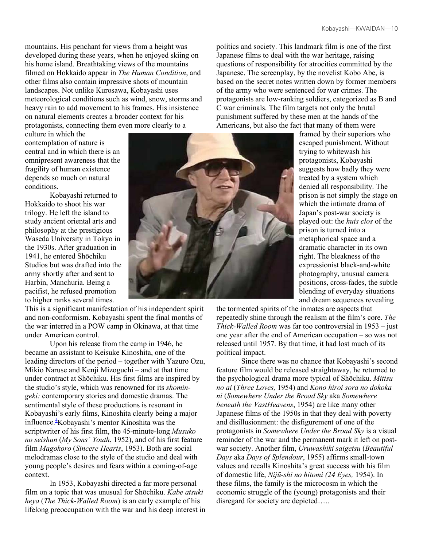mountains. His penchant for views from a height was developed during these years, when he enjoyed skiing on his home island. Breathtaking views of the mountains filmed on Hokkaido appear in *The Human Condition*, and other films also contain impressive shots of mountain landscapes. Not unlike Kurosawa, Kobayashi uses meteorological conditions such as wind, snow, storms and heavy rain to add movement to his frames. His insistence on natural elements creates a broader context for his protagonists, connecting them even more clearly to a

culture in which the contemplation of nature is central and in which there is an omnipresent awareness that the fragility of human existence depends so much on natural conditions.

Kobayashi returned to Hokkaido to shoot his war trilogy. He left the island to study ancient oriental arts and philosophy at the prestigious Waseda University in Tokyo in the 1930s. After graduation in 1941, he entered Shōchiku Studios but was drafted into the army shortly after and sent to Harbin, Manchuria. Being a pacifist, he refused promotion to higher ranks several times.

This is a significant manifestation of his independent spirit and non-conformism. Kobayashi spent the final months of the war interred in a POW camp in Okinawa, at that time under American control.

Upon his release from the camp in 1946, he became an assistant to Keisuke Kinoshita, one of the leading directors of the period – together with Yazuro Ozu, Mikio Naruse and Kenji Mizoguchi – and at that time under contract at Shōchiku. His first films are inspired by the studio's style, which was renowned for its *shomingeki:* contemporary stories and domestic dramas. The sentimental style of these productions is resonant in Kobayashi's early films, Kinoshita clearly being a major influence.<sup>4</sup>Kobayashi's mentor Kinoshita was the scriptwriter of his first film, the 45-minute-long *Musuko no seishun* (*My Sons' Youth*, 1952), and of his first feature film *Magokoro* (*Sincere Hearts*, 1953). Both are social melodramas close to the style of the studio and deal with young people's desires and fears within a coming-of-age context.

In 1953, Kobayashi directed a far more personal film on a topic that was unusual for Shōchiku. *Kabe atsuki heya* (*The Thick-Walled Room*) is an early example of his lifelong preoccupation with the war and his deep interest in



politics and society. This landmark film is one of the first Japanese films to deal with the war heritage, raising questions of responsibility for atrocities committed by the Japanese. The screenplay, by the novelist Kobo Abe, is based on the secret notes written down by former members of the army who were sentenced for war crimes. The protagonists are low-ranking soldiers, categorized as B and C war criminals. The film targets not only the brutal punishment suffered by these men at the hands of the Americans, but also the fact that many of them were

framed by their superiors who escaped punishment. Without trying to whitewash his protagonists, Kobayashi suggests how badly they were treated by a system which denied all responsibility. The prison is not simply the stage on which the intimate drama of Japan's post-war society is played out: the *huis clos* of the prison is turned into a metaphorical space and a dramatic character in its own right. The bleakness of the expressionist black-and-white photography, unusual camera positions, cross-fades, the subtle blending of everyday situations and dream sequences revealing

the tormented spirits of the inmates are aspects that repeatedly shine through the realism at the film's core. *The Thick-Walled Room* was far too controversial in 1953 – just one year after the end of American occupation – so was not released until 1957. By that time, it had lost much of its political impact.

Since there was no chance that Kobayashi's second feature film would be released straightaway, he returned to the psychological drama more typical of Shōchiku. *Mittsu no ai* (*Three Loves,* 1954) and *Kono hiroi sora no dokoka ni* (*Somewhere Under the Broad Sky* aka *Somewhere beneath the VastHeavens*, 1954) are like many other Japanese films of the 1950s in that they deal with poverty and disillusionment: the disfigurement of one of the protagonists in *Somewhere Under the Broad Sky* is a visual reminder of the war and the permanent mark it left on postwar society. Another film, *Uruwashiki saigetsu* (*Beautiful Days* aka *Days of Splendour*, 1955) affirms small-town values and recalls Kinoshita's great success with his film of domestic life, *Nijū-shi no hitomi (24 Eyes,* 1954). In these films, the family is the microcosm in which the economic struggle of the (young) protagonists and their disregard for society are depicted…..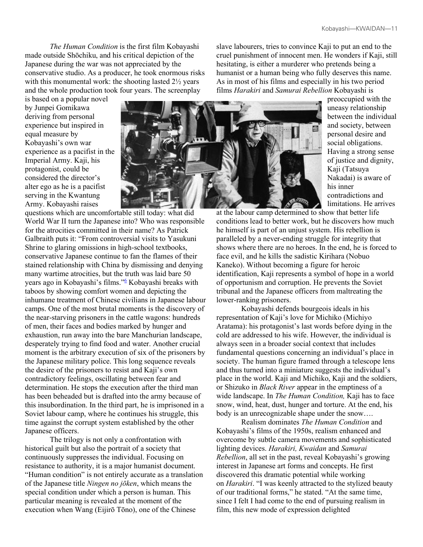*The Human Condition* is the first film Kobayashi made outside Shōchiku, and his critical depiction of the Japanese during the war was not appreciated by the conservative studio. As a producer, he took enormous risks with this monumental work: the shooting lasted  $2\frac{1}{2}$  years and the whole production took four years. The screenplay

is based on a popular novel by Junpei Gomikawa deriving from personal experience but inspired in equal measure by Kobayashi's own war experience as a pacifist in the Imperial Army. Kaji, his protagonist, could be considered the director's alter ego as he is a pacifist serving in the Kwantung Army. Kobayashi raises



questions which are uncomfortable still today: what did World War II turn the Japanese into? Who was responsible for the atrocities committed in their name? As Patrick Galbraith puts it: "From controversial visits to Yasukuni Shrine to glaring omissions in high-school textbooks, conservative Japanese continue to fan the flames of their stained relationship with China by dismissing and denying many wartime atrocities, but the truth was laid bare 50 years ago in Kobayashi's films."<sup>6</sup> Kobayashi breaks with taboos by showing comfort women and depicting the inhumane treatment of Chinese civilians in Japanese labour camps. One of the most brutal moments is the discovery of the near-starving prisoners in the cattle wagons: hundreds of men, their faces and bodies marked by hunger and exhaustion, run away into the bare Manchurian landscape, desperately trying to find food and water. Another crucial moment is the arbitrary execution of six of the prisoners by the Japanese military police. This long sequence reveals the desire of the prisoners to resist and Kaji's own contradictory feelings, oscillating between fear and determination. He stops the execution after the third man has been beheaded but is drafted into the army because of this insubordination. In the third part, he is imprisoned in a Soviet labour camp, where he continues his struggle, this time against the corrupt system established by the other Japanese officers.

The trilogy is not only a confrontation with historical guilt but also the portrait of a society that continuously suppresses the individual. Focusing on resistance to authority, it is a major humanist document. "Human condition" is not entirely accurate as a translation of the Japanese title *Ningen no jōken*, which means the special condition under which a person is human. This particular meaning is revealed at the moment of the execution when Wang (Eijirō Tōno), one of the Chinese

slave labourers, tries to convince Kaji to put an end to the cruel punishment of innocent men. He wonders if Kaji, still hesitating, is either a murderer who pretends being a humanist or a human being who fully deserves this name. As in most of his films and especially in his two period films *Harakiri* and *Samurai Rebellion* Kobayashi is

> preoccupied with the uneasy relationship between the individual and society, between personal desire and social obligations. Having a strong sense of justice and dignity, Kaji (Tatsuya Nakadai) is aware of his inner contradictions and limitations. He arrives

at the labour camp determined to show that better life conditions lead to better work, but he discovers how much he himself is part of an unjust system. His rebellion is paralleled by a never-ending struggle for integrity that shows where there are no heroes. In the end, he is forced to face evil, and he kills the sadistic Kirihara (Nobuo Kaneko). Without becoming a figure for heroic identification, Kaji represents a symbol of hope in a world of opportunism and corruption. He prevents the Soviet tribunal and the Japanese officers from maltreating the lower-ranking prisoners.

Kobayashi defends bourgeois ideals in his representation of Kaji's love for Michiko (Michiyo Aratama): his protagonist's last words before dying in the cold are addressed to his wife. However, the individual is always seen in a broader social context that includes fundamental questions concerning an individual's place in society. The human figure framed through a telescope lens and thus turned into a miniature suggests the individual's place in the world. Kaji and Michiko, Kaji and the soldiers, or Shizuko in *Black River* appear in the emptiness of a wide landscape. In *The Human Condition,* Kaji has to face snow, wind, heat, dust, hunger and torture. At the end, his body is an unrecognizable shape under the snow….

Realism dominates *The Human Condition* and Kobayashi's films of the 1950s, realism enhanced and overcome by subtle camera movements and sophisticated lighting devices. *Harakiri, Kwaidan* and *Samurai Rebellion*, all set in the past, reveal Kobayashi's growing interest in Japanese art forms and concepts. He first discovered this dramatic potential while working on *Harakiri*. "I was keenly attracted to the stylized beauty of our traditional forms," he stated. "At the same time, since I felt I had come to the end of pursuing realism in film, this new mode of expression delighted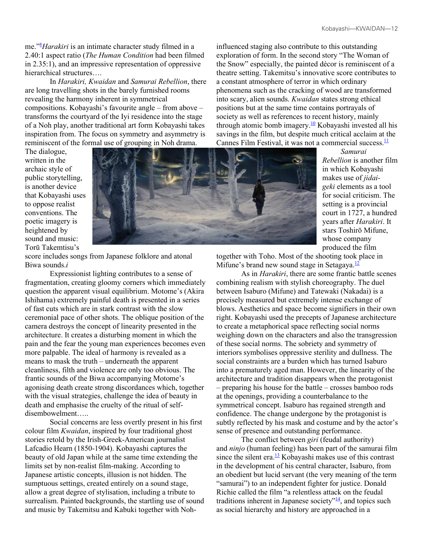me."<sup>8</sup> *Harakiri* is an intimate character study filmed in a 2.40:1 aspect ratio (*The Human Condition* had been filmed in 2.35:1), and an impressive representation of oppressive hierarchical structures....

In *Harakiri, Kwaidan* and *Samurai Rebellion*, there are long travelling shots in the barely furnished rooms revealing the harmony inherent in symmetrical compositions. Kobayashi's favourite angle – from above – transforms the courtyard of the Iyi residence into the stage of a Noh play, another traditional art form Kobayashi takes inspiration from. The focus on symmetry and asymmetry is reminiscent of the formal use of grouping in Noh drama.

influenced staging also contribute to this outstanding exploration of form. In the second story "The Woman of the Snow" especially, the painted décor is reminiscent of a theatre setting. Takemitsu's innovative score contributes to a constant atmosphere of terror in which ordinary phenomena such as the cracking of wood are transformed into scary, alien sounds. *Kwaidan* states strong ethical positions but at the same time contains portrayals of society as well as references to recent history, mainly through atomic bomb imagery. $\frac{10}{10}$  Kobayashi invested all his savings in the film, but despite much critical acclaim at the Cannes Film Festival, it was not a commercial success. $\frac{11}{1}$ 

The dialogue, written in the archaic style of public storytelling, is another device that Kobayashi uses to oppose realist conventions. The poetic imagery is heightened by sound and music: Torū Takemtisu's



*Samurai Rebellion* is another film in which Kobayashi makes use of *jidaigeki* elements as a tool for social criticism. The setting is a provincial court in 1727, a hundred years after *Harakiri*. It stars Toshirō Mifune, whose company produced the film

score includes songs from Japanese folklore and atonal Biwa sounds.*i*

Expressionist lighting contributes to a sense of fragmentation, creating gloomy corners which immediately question the apparent visual equilibrium. Motome's (Akira Ishihama) extremely painful death is presented in a series of fast cuts which are in stark contrast with the slow ceremonial pace of other shots. The oblique position of the camera destroys the concept of linearity presented in the architecture. It creates a disturbing moment in which the pain and the fear the young man experiences becomes even more palpable. The ideal of harmony is revealed as a means to mask the truth – underneath the apparent cleanliness, filth and violence are only too obvious. The frantic sounds of the Biwa accompanying Motome's agonising death create strong discordances which, together with the visual strategies, challenge the idea of beauty in death and emphasise the cruelty of the ritual of selfdisembowelment…..

Social concerns are less overtly present in his first colour film *Kwaidan*, inspired by four traditional ghost stories retold by the Irish-Greek-American journalist Lafcadio Hearn (1850-1904). Kobayashi captures the beauty of old Japan while at the same time extending the limits set by non-realist film-making. According to Japanese artistic concepts, illusion is not hidden. The sumptuous settings, created entirely on a sound stage, allow a great degree of stylisation, including a tribute to surrealism. Painted backgrounds, the startling use of sound and music by Takemitsu and Kabuki together with Nohtogether with Toho. Most of the shooting took place in Mifune's brand new sound stage in Setagaya. $\frac{12}{2}$ 

As in *Harakiri*, there are some frantic battle scenes combining realism with stylish choreography. The duel between Isaburo (Mifune) and Tatewaki (Nakadai) is a precisely measured but extremely intense exchange of blows. Aesthetics and space become signifiers in their own right. Kobayashi used the precepts of Japanese architecture to create a metaphorical space reflecting social norms weighing down on the characters and also the transgression of these social norms. The sobriety and symmetry of interiors symbolises oppressive sterility and dullness. The social constraints are a burden which has turned Isaburo into a prematurely aged man. However, the linearity of the architecture and tradition disappears when the protagonist – preparing his house for the battle – crosses bamboo rods at the openings, providing a counterbalance to the symmetrical concept. Isaburo has regained strength and confidence. The change undergone by the protagonist is subtly reflected by his mask and costume and by the actor's sense of presence and outstanding performance.

The conflict between *giri* (feudal authority) and *ninjo* (human feeling) has been part of the samurai film since the silent era.<sup>13</sup> Kobayashi makes use of this contrast in the development of his central character, Isaburo, from an obedient but lucid servant (the very meaning of the term "samurai") to an independent fighter for justice. Donald Richie called the film "a relentless attack on the feudal traditions inherent in Japanese society<sup> $n_1$ </sup>, and topics such as social hierarchy and history are approached in a